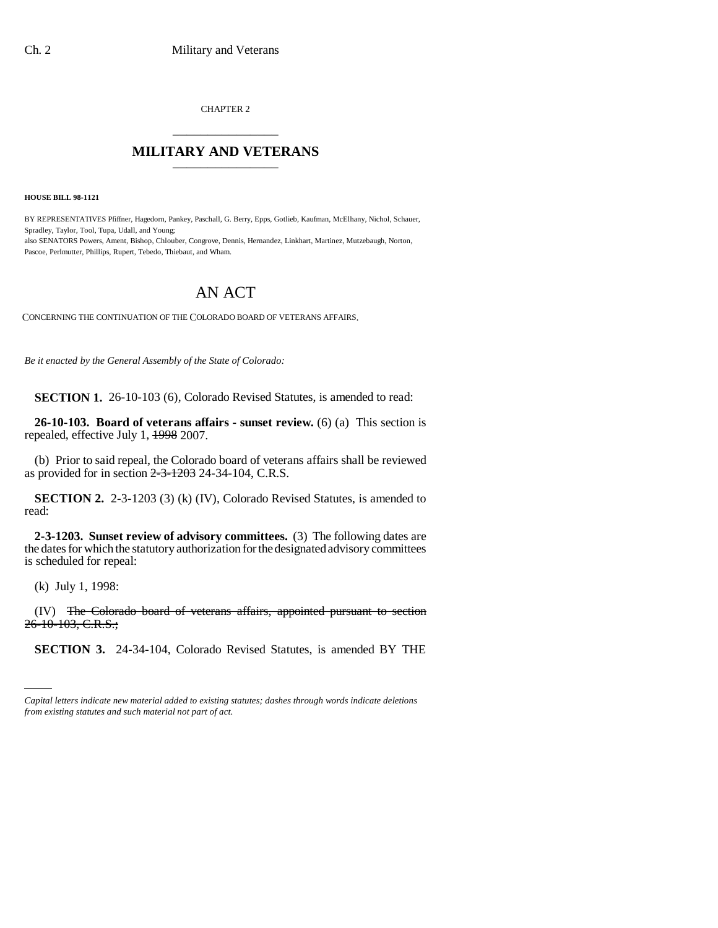CHAPTER 2 \_\_\_\_\_\_\_\_\_\_\_\_\_\_\_

## **MILITARY AND VETERANS** \_\_\_\_\_\_\_\_\_\_\_\_\_\_\_

**HOUSE BILL 98-1121**

BY REPRESENTATIVES Pfiffner, Hagedorn, Pankey, Paschall, G. Berry, Epps, Gotlieb, Kaufman, McElhany, Nichol, Schauer, Spradley, Taylor, Tool, Tupa, Udall, and Young; also SENATORS Powers, Ament, Bishop, Chlouber, Congrove, Dennis, Hernandez, Linkhart, Martinez, Mutzebaugh, Norton, Pascoe, Perlmutter, Phillips, Rupert, Tebedo, Thiebaut, and Wham.

## AN ACT

CONCERNING THE CONTINUATION OF THE COLORADO BOARD OF VETERANS AFFAIRS.

*Be it enacted by the General Assembly of the State of Colorado:*

**SECTION 1.** 26-10-103 (6), Colorado Revised Statutes, is amended to read:

**26-10-103. Board of veterans affairs - sunset review.** (6) (a) This section is repealed, effective July 1, 1998 2007.

(b) Prior to said repeal, the Colorado board of veterans affairs shall be reviewed as provided for in section  $2-3-1203$  24-34-104, C.R.S.

**SECTION 2.** 2-3-1203 (3) (k) (IV), Colorado Revised Statutes, is amended to read:

**2-3-1203. Sunset review of advisory committees.** (3) The following dates are the dates for which the statutory authorization for the designated advisory committees is scheduled for repeal:

(k) July 1, 1998:

(IV) The Colorado board of veterans affairs, appointed pursuant to section 26-10-103, C.R.S.;

**SECTION 3.** 24-34-104, Colorado Revised Statutes, is amended BY THE

*Capital letters indicate new material added to existing statutes; dashes through words indicate deletions from existing statutes and such material not part of act.*